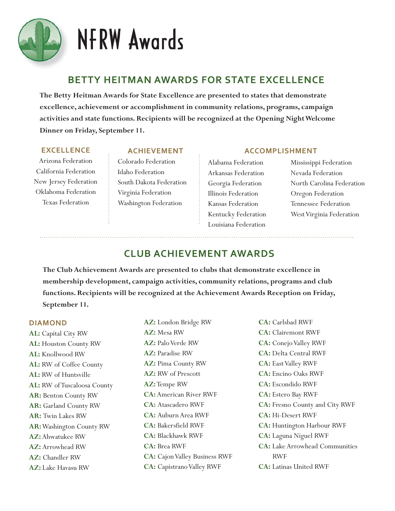

# **BETTY HEITMAN AWARDS FOR STATE EXCELLENCE**

**The Betty Heitman Awards for State Excellence are presented to states that demonstrate excellence, achievement or accomplishment in community relations, programs, campaign activities and state functions. Recipients will be recognized at the Opening Night Welcome Dinner on Friday, September 11.** 

#### **EXCELLENCE**

Arizona Federation California Federation New Jersey Federation Oklahoma Federation Texas Federation

## **ACHIEVEMENT**

Colorado Federation Idaho Federation South Dakota Federation Virginia Federation Washington Federation

Alabama Federation Arkansas Federation Georgia Federation Illinois Federation Kansas Federation Kentucky Federation Louisiana Federation

**ACCOMPLISHMENT**

Mississippi Federation Nevada Federation North Carolina Federation Oregon Federation Tennessee Federation West Virginia Federation

# **CLUB ACHIEVEMENT AWARDS**

**The Club Achievement Awards are presented to clubs that demonstrate excellence in membership development, campaign activities, community relations, programs and club functions. Recipients will be recognized at the Achievement Awards Reception on Friday, September 11.**

## **DIAMOND**

**AL:** Capital City RW **AL:** Houston County RW **AL:** Knollwood RW **AL:** RW of Coffee County **AL:** RW of Huntsville **AL:** RW of Tuscaloosa County **AR:** Benton County RW **AR:** Garland County RW **AR:** Twin Lakes RW **AR:** Washington County RW **AZ**: Ahwatukee RW **AZ**: Arrowhead RW AZ: Chandler RW **AZ**: Lake Havasu RW

AZ: London Bridge RW **AZ:** Mesa RW AZ: Palo Verde RW AZ: Paradise RW **AZ:** Pima County RW AZ: RW of Prescott AZ: Tempe RW **CA :** American River RWF **CA :** Atascadero RWF **CA :** Auburn Area RWF **CA :** Bakersfield RWF **CA :** Blackhawk RWF **CA**: Brea RWF **CA:** Cajon Valley Business RWF **CA:** Capistrano Valley RWF

**CA :** Carlsbad RWF **CA :** Clairemont RWF **CA :** Conejo Valley RWF **CA :** Delta Central RWF **CA :** East Valley RWF **CA :** Encino Oaks RWF **CA :** Escondido RWF **CA :** Estero Bay RWF **CA :** Fresno County and City RWF **CA :** Hi-Desert RWF **CA :** Huntington Harbour RWF **CA :** Laguna Niguel RWF **CA :** Lake Arrowhead Communities RWF **CA :** Latinas United RWF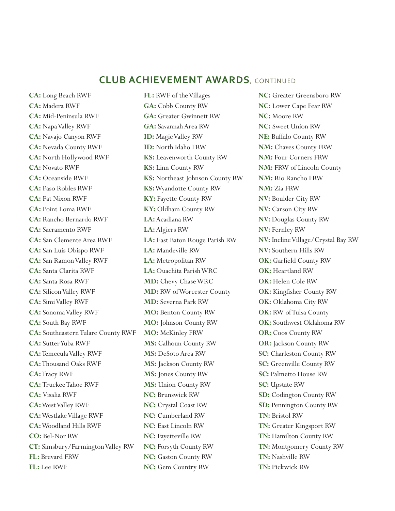# **CLUB ACHIEVEMENT AWARDS**, CONTINUED

**CA :** Long Beach RWF **CA :** Madera RWF **CA :** Mid-Peninsula RWF **CA :** Napa Valley RWF **CA :** Navajo Canyon RWF **CA :** Nevada County RWF **CA :** North Hollywood RWF **CA:** Novato RWF **CA :** Oceanside RWF **CA :** Paso Robles RWF **CA: Pat Nixon RWF CA :** Point Loma RWF **CA :** Rancho Bernardo RWF **CA :** Sacramento RWF **CA :** San Clemente Area RWF **CA :** San Luis Obispo RWF **CA :** San Ramon Valley RWF **CA :** Santa Clarita RWF **CA :** Santa Rosa RWF **CA :** Silicon Valley RWF **CA :** Simi Valley RWF **CA :** Sonoma Valley RWF **CA :** South Bay RWF **CA :** Southeastern Tulare County RWF **CA :** Sutter Yuba RWF **CA :** Temecula Valley RWF **CA :** Thousand Oaks RWF **CA: Tracy RWF CA :** Truckee Tahoe RWF **CA :** Visalia RWF **CA :** West Valley RWF **CA :** Westlake Village RWF **CA :** Woodland Hills RWF **CO: Bel-Nor RW CT :** Simsbury/Farmington Valley RW **FL :** Brevard FRW **FL :** Lee RWF

**FL :** RWF of the Villages **GA:** Cobb County RW **GA:** Greater Gwinnett RW **GA:** Savannah Area RW **ID:** Magic Valley RW **ID:** North Idaho FRW **KS:** Leavenworth County RW **KS:** Linn County RW **KS:** Northeast Johnson County RW **KS:** Wyandotte County RW **KY:** Fayette County RW **KY:** Oldham County RW **LA:** Acadiana RW **LA:** Algiers RW **LA:** East Baton Rouge Parish RW **LA:** Mandeville RW **LA:** Metropolitan RW **LA:** Ouachita Parish WRC **MD:** Chevy Chase WRC **MD:** RW of Worcester County **MD:** Severna Park RW **MO:** Benton County RW **MO:** Johnson County RW **MO:** McKinley FRW **MS:** Calhoun County RW **MS:** DeSoto Area RW **MS:** Jackson County RW **MS:** Jones County RW **MS:** Union County RW **NC:** Brunswick RW **NC:** Crystal Coast RW **NC:** Cumberland RW **NC:** East Lincoln RW **NC:** Fayetteville RW **NC:** Forsyth County RW **NC:** Gaston County RW **NC:** Gem Country RW

**NC:** Greater Greensboro RW **NC:** Lower Cape Fear RW **NC:** Moore RW **NC:** Sweet Union RW **NE:** Buffalo County RW **NM:** Chaves County FRW **NM:** Four Corners FRW **NM:** FRW of Lincoln County **NM:** Rio Rancho FRW **NM:** Zia FRW **NV:** Boulder City RW **NV:** Carson City RW **NV:** Douglas County RW **NV:** Fernley RW **NV:** Incline Village/Crystal Bay RW **NV:** Southern Hills RW **OK:** Garfield County RW **OK:** Heartland RW **OK:** Helen Cole RW **OK:** Kingfisher County RW **OK:** Oklahoma City RW **OK:** RW of Tulsa County **OK:** Southwest Oklahoma RW **OR:** Coos County RW **OR:** Jackson County RW **SC:** Charleston County RW **SC:** Greenville County RW **SC:** Palmetto House RW **SC:** Upstate RW **SD:** Codington County RW **SD:** Pennington County RW **TN:** Bristol RW **TN:** Greater Kingsport RW **TN:** Hamilton County RW **TN:** Montgomery County RW **TN:** Nashville RW **TN:** Pickwick RW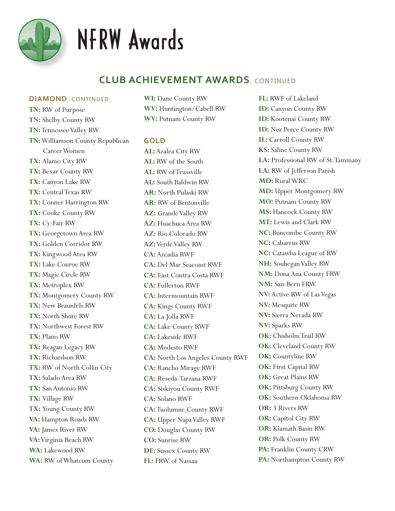

# NFRW Awards

# **CLUB ACHIEVEMENT AWARDS**, CONTINUED

#### **DIAMOND**, CONTINUED

**TN:** RW of Purpose **TN:** Shelby County RW **TN:** Tennessee Valley RW **TN:** Williamson County Republican Career Women **TX:** Alamo City RW **TX:** Bexar County RW **TX:** Canyon Lake RW **TX:** Central Texas RW **TX:** Conner Harrington RW **TX:** Cooke County RW **TX:** Cy-Fair RW **TX:** Georgetown Area RW **TX:** Golden Corridor RW **TX:** Kingwood Area RW **TX:** Lake Conroe RW **TX:** Magic Circle RW **TX:** Metroplex RW **TX:** Montgomery County RW **TX:** New Braunfels RW **TX:** North Shore RW **TX:** Northwest Forest RW **TX:** Plano RW **TX:** Reagan Legacy RW **TX:** Richardson RW **TX:** RW of North Collin City **TX:** Salado Area RW **TX:** San Antonio RW **TX:** Village RW **TX:** Young County RW **VA:** Hampton Roads RW **VA:** James River RW **VA:** Virginia Beach RW **WA:** Lakewood RW **WA:** RW of Whatcom County

**WI:** Dane County RW **WV:** Huntington/Cabell RW **WV:** Putnam County RW

## **GOLD**

**AL:** Azalea City RW **AL:** RW of the South **AL:** RW of Trussville **AL:** South Baldwin RW **AR:** North Pulaski RW **AR:** RW of Bentonville **AZ:** Grande Valley RW **AZ:** Huachuca Area RW **AZ:** Rio Colorado RW **AZ:** Verde Valley RW **CA:** Arcadia RWF **CA:** Del Mar Seacoast RWF **CA:** East Contra Costa RWF **CA:** Fullerton RWF **CA:** Intermountain RWF **CA:** Kings County RWF **CA:** La Jolla RWF **CA:** Lake County RWF **CA:** Lakeside RWF **CA:** Modesto RWF **CA:** North Los Angeles County RWF **CA:** Rancho Mirage RWF **CA:** Reseda-Tarzana RWF **CA:** Siskiyou County RWF **CA:** Solano RWF **CA:** Tuolumne County RWF **CA:** Upper Napa Valley RWF **CO:** Douglas County RW **CO:** Sunrise RW **DE:** Sussex County RW **FL:** FRW of Nassau

**FL:** RWF of Lakeland **ID:** Canyon County RW **ID:** Kootenai County RW **ID:** Nez Perce County RW **IL:** Carroll County RW **KS:** Saline County RW **LA:** Professional RW of St.Tammany LA: RW of Jefferson Parish **MD:** Rural WRC **MD:** Upper Montgomery RW **MO:** Putnam County RW **MS:** Hancock County RW **MT:** Lewis and Clark RW **NC:** Buncombe County RW **NC:** Cabarrus RW **NC:** Catawba League of RW **NH:** Souhegan Valley RW **NM:** Dona Ana County FRW **NM:** San-Bern FRW **NV:** Active RW of Las Vegas **NV:** Mesquite RW **NV:** Sierra Nevada RW **NV:** Sparks RW **OK:** Chisholm Trail RW **OK:** Cleveland County RW **OK:** Countyline RW **OK:** First Capital RW **OK:** Great Plains RW **OK:** Pittsburg County RW **OK:** Southern Oklahoma RW **OR:** 3 Rivers RW **OR:** Capitol City RW **OR:** Klamath Basin RW **OR:** Polk County RW **PA:** Franklin County CRW **PA:** Northampton County RW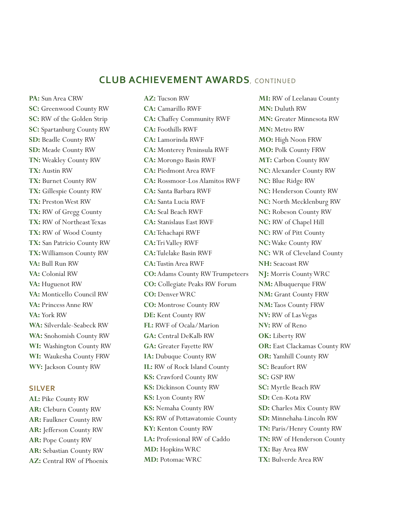## **CLUB ACHIEVEMENT AWARDS**, CONTINUED

**PA:** Sun Area CRW **SC:** Greenwood County RW **SC:** RW of the Golden Strip **SC:** Spartanburg County RW **SD:** Beadle County RW **SD:** Meade County RW **TN:** Weakley County RW **TX:** Austin RW **TX:** Burnet County RW **TX:** Gillespie County RW **TX:** Preston West RW **TX:** RW of Gregg County **TX:** RW of Northeast Texas **TX:** RW of Wood County **TX:** San Patricio County RW **TX:** Williamson County RW **VA:** Bull Run RW **VA:** Colonial RW **VA:** Huguenot RW **VA:** Monticello Council RW **VA:** Princess Anne RW **VA:** York RW **WA:** Silverdale-Seabeck RW **WA:** Snohomish County RW **WI:** Washington County RW **WI:** Waukesha County FRW **WV:** Jackson County RW

#### **SILVER**

**AL:** Pike County RW **AR:** Cleburn County RW **AR:** Faulkner County RW **AR:** Jefferson County RW **AR:** Pope County RW **AR:** Sebastian County RW **AZ:** Central RW of Phoenix **AZ:** Tucson RW **CA:** Camarillo RWF **CA:** Chaffey Community RWF **CA:** Foothills RWF **CA:** Lamorinda RWF **CA:** Monterey Peninsula RWF **CA:** Morongo Basin RWF **CA:** Piedmont Area RWF **CA:** Rossmoor-Los Alamitos RWF **CA:** Santa Barbara RWF **CA:** Santa Lucia RWF **CA:** Seal Beach RWF **CA:** Stanislaus East RWF **CA:** Tehachapi RWF **CA:** Tri Valley RWF **CA:** Tulelake Basin RWF **CA:** Tustin Area RWF **CO:** Adams County RW Trumpeteers **CO:** Collegiate Peaks RW Forum **CO:** Denver WRC **CO:** Montrose County RW **DE:** Kent County RW **FL:** RWF of Ocala/Marion **GA:** Central DeKalb RW **GA:** Greater Fayette RW **IA:** Dubuque County RW **IL:** RW of Rock Island County **KS:** Crawford County RW **KS:** Dickinson County RW **KS:** Lyon County RW **KS:** Nemaha County RW **KS:** RW of Pottawatomie County **KY:** Kenton County RW **LA:** Professional RW of Caddo **MD:** Hopkins WRC **MD:** Potomac WRC

**MI:** RW of Leelanau County **MN:** Duluth RW **MN:** Greater Minnesota RW **MN:** Metro RW **MO:** High Noon FRW **MO:** Polk County FRW **MT:** Carbon County RW **NC:** Alexander County RW **NC:** Blue Ridge RW **NC:** Henderson County RW **NC:** North Mecklenburg RW **NC:** Robeson County RW **NC:** RW of Chapel Hill **NC:** RW of Pitt County **NC:** Wake County RW **NC:** WR of Cleveland County **NH:** Seacoast RW **NJ:** Morris County WRC **NM:** Albuquerque FRW **NM:** Grant County FRW **NM:** Taos County FRW **NV:** RW of Las Vegas **NV:** RW of Reno **OK:** Liberty RW **OR:** East Clackamas County RW **OR:** Yamhill County RW **SC:** Beaufort RW **SC:** GSP RW **SC:** Myrtle Beach RW **SD:** Cen-Kota RW **SD:** Charles Mix County RW **SD:** Minnehaha-Lincoln RW **TN:** Paris/Henry County RW **TN:** RW of Henderson County **TX:** Bay Area RW **TX:** Bulverde Area RW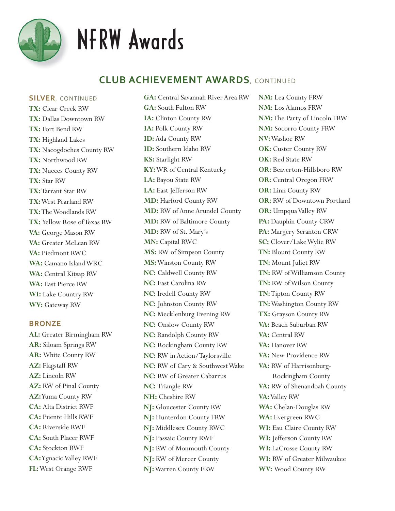

# NFRW Awards

# **CLUB ACHIEVEMENT AWARDS**, CONTINUED

**SILVER**, CONTINUED

**TX:** Clear Creek RW **TX:** Dallas Downtown RW **TX:** Fort Bend RW **TX:** Highland Lakes **TX:** Nacogdoches County RW **TX:** Northwood RW **TX:** Nueces County RW **TX:** Star RW **TX:** Tarrant Star RW **TX:** West Pearland RW **TX:** The Woodlands RW **TX:** Yellow Rose of Texas RW **VA:** George Mason RW **VA:** Greater McLean RW **VA:** Piedmont RWC **WA:** Camano Island WRC **WA:** Central Kitsap RW **WA:** East Pierce RW **WI:** Lake Country RW **WV:** Gateway RW

#### **BRONZE**

**AL:** Greater Birmingham RW **AR:** Siloam Springs RW **AR:** White County RW **AZ:** Flagstaff RW **AZ:** Lincoln RW **AZ:** RW of Pinal County **AZ:** Yuma County RW **CA:** Alta District RWF **CA:** Puente Hills RWF **CA:** Riverside RWF **CA:** South Placer RWF **CA:** Stockton RWF **CA:** Ygnacio Valley RWF **FL:** West Orange RWF

**GA:** Central Savannah River Area RW **GA:** South Fulton RW **IA:** Clinton County RW **IA:** Polk County RW **ID:** Ada County RW **ID:** Southern Idaho RW **KS:** Starlight RW **KY:** WR of Central Kentucky **LA:** Bayou State RW **LA:** East Jefferson RW **MD:** Harford County RW **MD:** RW of Anne Arundel County **MD:** RW of Baltimore County **MD:** RW of St. Mary's **MN:** Capital RWC **MS:** RW of Simpson County **MS:** Winston County RW **NC:** Caldwell County RW **NC:** East Carolina RW **NC:** Iredell County RW **NC:** Johnston County RW **NC:** Mecklenburg Evening RW **NC:** Onslow County RW **NC:** Randolph County RW **NC:** Rockingham County RW **NC:** RW in Action/Taylorsville **NC:** RW of Cary & Southwest Wake **NC:** RW of Greater Cabarrus **NC:** Triangle RW **NH:** Cheshire RW **NJ:** Gloucester County RW **NJ:** Hunterdon County FRW **NJ:** Middlesex County RWC **NJ:** Passaic County RWF **NJ:** RW of Monmouth County **NJ:** RW of Mercer County **NJ:** Warren County FRW

**NM:** Lea County FRW **NM:** Los Alamos FRW **NM:** The Party of Lincoln FRW **NM:** Socorro County FRW **NV:** Washoe RW **OK:** Custer County RW **OK:** Red State RW **OR:** Beaverton-Hillsboro RW **OR:** Central Oregon FRW **OR:** Linn County RW **OR:** RW of Downtown Portland **OR:** Umpqua Valley RW **PA:** Dauphin County CRW **PA:** Margery Scranton CRW **SC:** Clover/Lake Wylie RW **TN:** Blount County RW **TN:** Mount Juliet RW **TN:** RW of Williamson County **TN:** RW of Wilson County **TN:** Tipton County RW **TN:** Washington County RW **TX:** Grayson County RW **VA:** Beach Suburban RW **VA:** Central RW **VA:** Hanover RW **VA:** New Providence RW **VA:** RW of Harrisonburg- Rockingham County **VA:** RW of Shenandoah County **VA:** Valley RW **WA:** Chelan-Douglas RW **WA:** Evergreen RWC **WI:** Eau Claire County RW **WI:** Jefferson County RW **WI:** LaCrosse County RW **WI:** RW of Greater Milwaukee **WV:** Wood County RW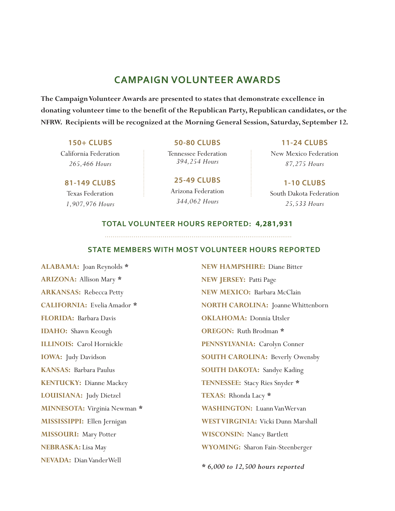# **CAMPAIGN VOLUNTEER AWARDS**

**The Campaign Volunteer Awards are presented to states that demonstrate excellence in donating volunteer time to the benefit of the Republican Party, Republican candidates, or the NFRW. Recipients will be recognized at the Morning General Session, Saturday, September 12.**

## **150+ CLUBS** California Federation *265,466 Hours*

**81-149 CLUBS** Texas Federation *1,907,976 Hours*

**50-80 CLUBS**

Tennessee Federation *394,254 Hours*

**25-49 CLUBS** Arizona Federation *344,062 Hours*

**11-24 CLUBS**

New Mexico Federation *87,275 Hours*

**1-10 CLUBS** South Dakota Federation *25,533 Hours*

## **TOTAL VOLUNTEER HOURS REPORTED: 4,281,931**

# **STATE MEMBERS WITH MOST VOLUNTEER HOURS REPORTED**

**ALABAMA:** Joan Reynolds *\** **ARIZONA:** Allison Mary *\** **ARKANSAS:** Rebecca Petty **CALIFORNIA:** Evelia Amador *\** **FLORIDA:** Barbara Davis **IDAHO:** Shawn Keough **ILLINOIS:** Carol Hornickle **IOWA:** Judy Davidson **KANSAS:** Barbara Paulus **KENTUCKY:** Dianne Mackey **LOUISIANA:** Judy Dietzel **MINNESOTA:** Virginia Newman *\** **MISSISSIPPI:** Ellen Jernigan **MISSOURI:** Mary Potter **NEBRASKA:** Lisa May **NEVADA:** Dian VanderWell

**NEW HAMPSHIRE:** Diane Bitter **NEW JERSEY:** Patti Page **NEW MEXICO:** Barbara McClain **NORTH CAROLINA:** Joanne Whittenborn **OKLAHOMA: Donnia Utsler OREGON:** Ruth Brodman *\** **PENNSYLVANIA:** Carolyn Conner **SOUTH CAROLINA:** Beverly Owensby **SOUTH DAKOTA:** Sandye Kading **TENNESSEE:** Stacy Ries Snyder *\** **TEXAS:** Rhonda Lacy *\** **WASHINGTON:** Luann VanWervan **WEST VIRGINIA:** Vicki Dunn Marshall **WISCONSIN:** Nancy Bartlett **WYOMING:** Sharon Fain-Steenberger

*\* 6,000 to 12,500 hours reported*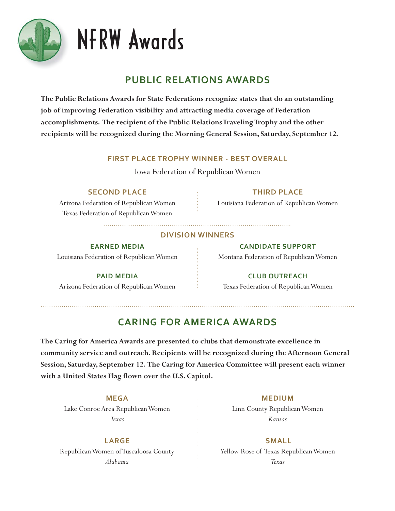

# NFRW Awards

# **PUBLIC RELATIONS AWARDS**

**The Public Relations Awards for State Federations recognize states that do an outstanding job of improving Federation visibility and attracting media coverage of Federation accomplishments. The recipient of the Public Relations Traveling Trophy and the other recipients will be recognized during the Morning General Session, Saturday, September 12.**

## **FIRST PLACE TROPHY WINNER - BEST OVERALL**

Iowa Federation of Republican Women

# **SECOND PLACE**

Arizona Federation of Republican Women Texas Federation of Republican Women

# **THIRD PLACE**

Louisiana Federation of Republican Women

## **DIVISION WINNERS**

## **EARNED MEDIA**

Louisiana Federation of Republican Women

# **PAID MEDIA**

Arizona Federation of Republican Women

**CANDIDATE SUPPORT**

Montana Federation of Republican Women

# **CLUB OUTREACH**

Texas Federation of Republican Women

# **CARING FOR AMERICA AWARDS**

**The Caring for America Awards are presented to clubs that demonstrate excellence in community service and outreach. Recipients will be recognized during the Afternoon General Session, Saturday, September 12. The Caring for America Committee will present each winner with a United States Flag flown over the U.S. Capitol.**

## **MEGA**

Lake Conroe Area Republican Women *Texas*

**LARGE** Republican Women of Tuscaloosa County *Alabama*

## **MEDIUM**

Linn County Republican Women *Kansas*

**SMALL**  Yellow Rose of Texas Republican Women *Texas*